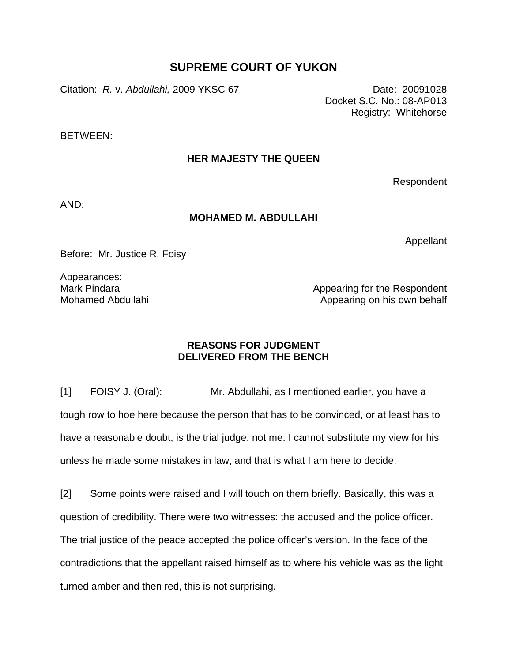## **SUPREME COURT OF YUKON**

Citation: *R.* v. *Abdullahi,* 2009 YKSC 67 Date: 20091028

Docket S.C. No.: 08-AP013 Registry: Whitehorse

BETWEEN:

## **HER MAJESTY THE QUEEN**

Respondent

AND:

## **MOHAMED M. ABDULLAHI**

Appellant

Before: Mr. Justice R. Foisy

Appearances: Mark Pindara Mohamed Abdullahi

Appearing for the Respondent Appearing on his own behalf

## **REASONS FOR JUDGMENT DELIVERED FROM THE BENCH**

[1] FOISY J. (Oral): Mr. Abdullahi, as I mentioned earlier, you have a tough row to hoe here because the person that has to be convinced, or at least has to have a reasonable doubt, is the trial judge, not me. I cannot substitute my view for his unless he made some mistakes in law, and that is what I am here to decide.

[2] Some points were raised and I will touch on them briefly. Basically, this was a question of credibility. There were two witnesses: the accused and the police officer. The trial justice of the peace accepted the police officer's version. In the face of the contradictions that the appellant raised himself as to where his vehicle was as the light turned amber and then red, this is not surprising.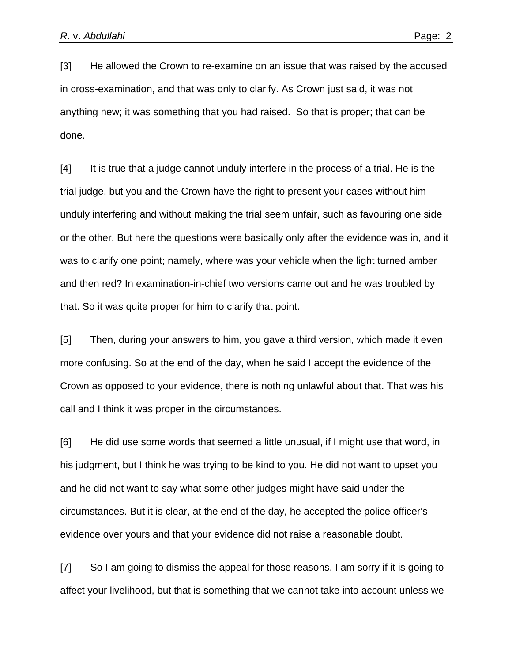[3] He allowed the Crown to re-examine on an issue that was raised by the accused in cross-examination, and that was only to clarify. As Crown just said, it was not anything new; it was something that you had raised. So that is proper; that can be done.

[4] It is true that a judge cannot unduly interfere in the process of a trial. He is the trial judge, but you and the Crown have the right to present your cases without him unduly interfering and without making the trial seem unfair, such as favouring one side or the other. But here the questions were basically only after the evidence was in, and it was to clarify one point; namely, where was your vehicle when the light turned amber and then red? In examination-in-chief two versions came out and he was troubled by that. So it was quite proper for him to clarify that point.

[5] Then, during your answers to him, you gave a third version, which made it even more confusing. So at the end of the day, when he said I accept the evidence of the Crown as opposed to your evidence, there is nothing unlawful about that. That was his call and I think it was proper in the circumstances.

[6] He did use some words that seemed a little unusual, if I might use that word, in his judgment, but I think he was trying to be kind to you. He did not want to upset you and he did not want to say what some other judges might have said under the circumstances. But it is clear, at the end of the day, he accepted the police officer's evidence over yours and that your evidence did not raise a reasonable doubt.

[7] So I am going to dismiss the appeal for those reasons. I am sorry if it is going to affect your livelihood, but that is something that we cannot take into account unless we